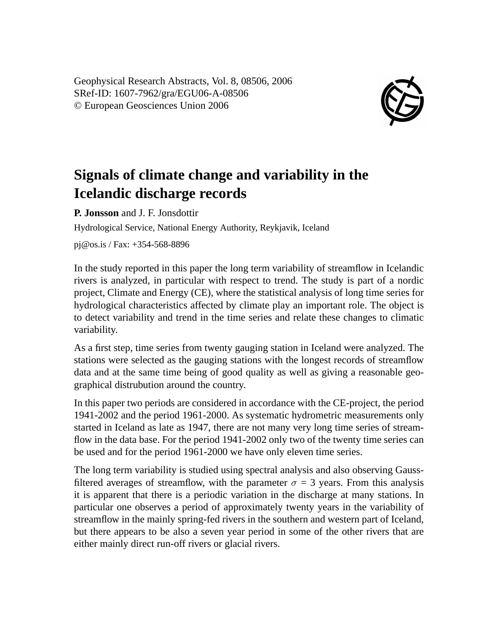Geophysical Research Abstracts, Vol. 8, 08506, 2006 SRef-ID: 1607-7962/gra/EGU06-A-08506 © European Geosciences Union 2006



## **Signals of climate change and variability in the Icelandic discharge records**

**P. Jonsson** and J. F. Jonsdottir

Hydrological Service, National Energy Authority, Reykjavik, Iceland

pj@os.is / Fax: +354-568-8896

In the study reported in this paper the long term variability of streamflow in Icelandic rivers is analyzed, in particular with respect to trend. The study is part of a nordic project, Climate and Energy (CE), where the statistical analysis of long time series for hydrological characteristics affected by climate play an important role. The object is to detect variability and trend in the time series and relate these changes to climatic variability.

As a first step, time series from twenty gauging station in Iceland were analyzed. The stations were selected as the gauging stations with the longest records of streamflow data and at the same time being of good quality as well as giving a reasonable geographical distrubution around the country.

In this paper two periods are considered in accordance with the CE-project, the period 1941-2002 and the period 1961-2000. As systematic hydrometric measurements only started in Iceland as late as 1947, there are not many very long time series of streamflow in the data base. For the period 1941-2002 only two of the twenty time series can be used and for the period 1961-2000 we have only eleven time series.

The long term variability is studied using spectral analysis and also observing Gaussfiltered averages of streamflow, with the parameter  $\sigma = 3$  years. From this analysis it is apparent that there is a periodic variation in the discharge at many stations. In particular one observes a period of approximately twenty years in the variability of streamflow in the mainly spring-fed rivers in the southern and western part of Iceland, but there appears to be also a seven year period in some of the other rivers that are either mainly direct run-off rivers or glacial rivers.